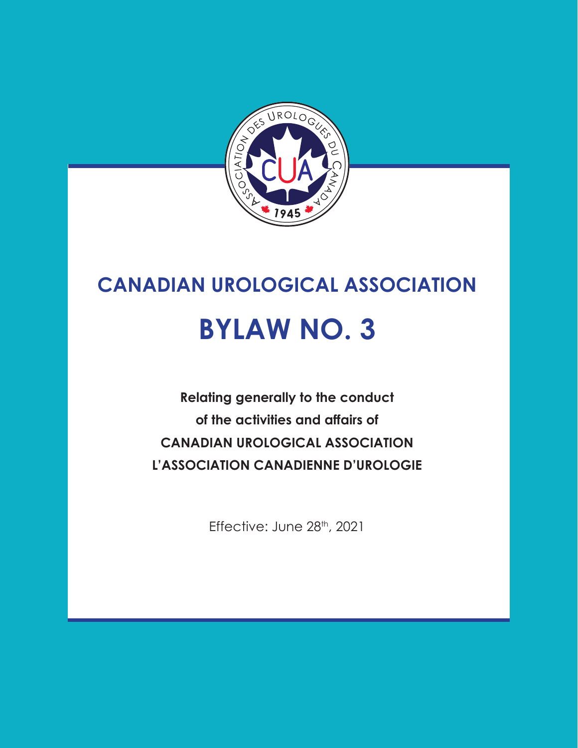

# **CANADIAN UROLOGICAL ASSOCIATION BYLAW NO. 3**

**Relating generally to the conduct of the activities and affairs of CANADIAN UROLOGICAL ASSOCIATION L'ASSOCIATION CANADIENNE D'UROLOGIE**

Effective: June 28th, 2021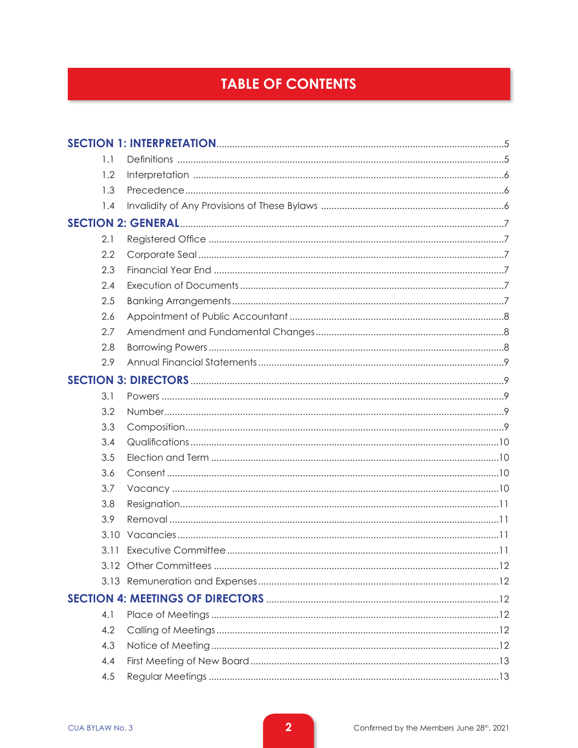# **TABLE OF CONTENTS**

| 1.1  |  |
|------|--|
| 1.2  |  |
| 1.3  |  |
| 1.4  |  |
|      |  |
| 2.1  |  |
| 2.2  |  |
| 2.3  |  |
| 2.4  |  |
| 2.5  |  |
| 2.6  |  |
| 2.7  |  |
| 2.8  |  |
| 2.9  |  |
|      |  |
| 3.1  |  |
| 3.2  |  |
| 3.3  |  |
| 3.4  |  |
| 3.5  |  |
| 3.6  |  |
| 3.7  |  |
| 3.8  |  |
| 3.9  |  |
| 3.10 |  |
| 3.11 |  |
|      |  |
|      |  |
|      |  |
| 4.1  |  |
| 4.2  |  |
| 4.3  |  |
| 4.4  |  |
| 4.5  |  |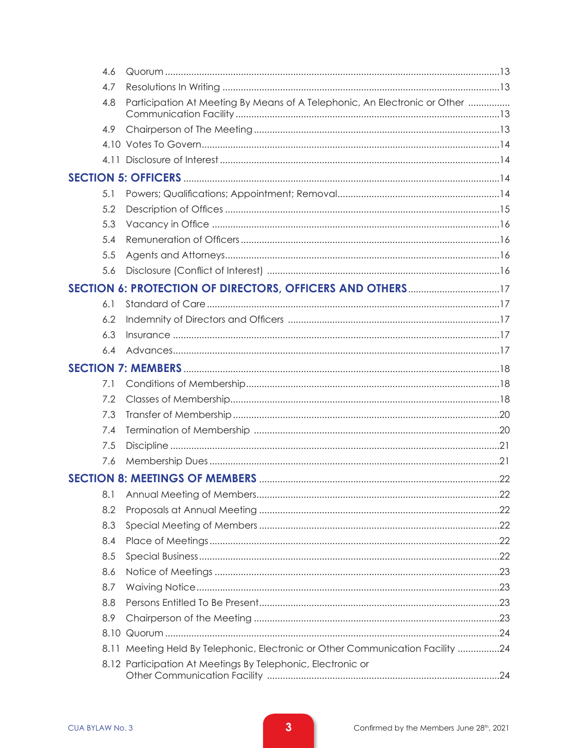| 4.6 |                                                                                |  |
|-----|--------------------------------------------------------------------------------|--|
| 4.7 |                                                                                |  |
| 4.8 | Participation At Meeting By Means of A Telephonic, An Electronic or Other      |  |
| 4.9 |                                                                                |  |
|     |                                                                                |  |
|     |                                                                                |  |
|     |                                                                                |  |
| 5.1 |                                                                                |  |
| 5.2 |                                                                                |  |
| 5.3 |                                                                                |  |
| 5.4 |                                                                                |  |
| 5.5 |                                                                                |  |
| 5.6 |                                                                                |  |
|     |                                                                                |  |
| 6.1 |                                                                                |  |
| 6.2 |                                                                                |  |
| 6.3 |                                                                                |  |
| 6.4 |                                                                                |  |
|     |                                                                                |  |
| 7.1 |                                                                                |  |
| 7.2 |                                                                                |  |
| 7.3 |                                                                                |  |
| 7.4 |                                                                                |  |
| 7.5 |                                                                                |  |
| 7.6 |                                                                                |  |
|     |                                                                                |  |
| 8.1 |                                                                                |  |
| 8.2 |                                                                                |  |
| 8.3 |                                                                                |  |
| 8.4 |                                                                                |  |
| 8.5 |                                                                                |  |
| 8.6 |                                                                                |  |
| 8.7 |                                                                                |  |
| 8.8 |                                                                                |  |
| 8.9 |                                                                                |  |
|     |                                                                                |  |
|     | 8.11 Meeting Held By Telephonic, Electronic or Other Communication Facility 24 |  |
|     | 8.12 Participation At Meetings By Telephonic, Electronic or                    |  |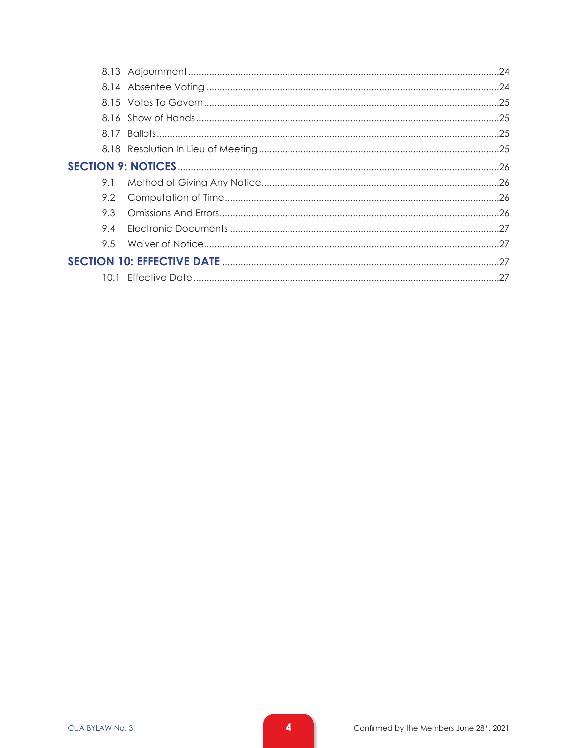| 9.1 |  |  |
|-----|--|--|
|     |  |  |
| 93  |  |  |
| 9.4 |  |  |
|     |  |  |
|     |  |  |
|     |  |  |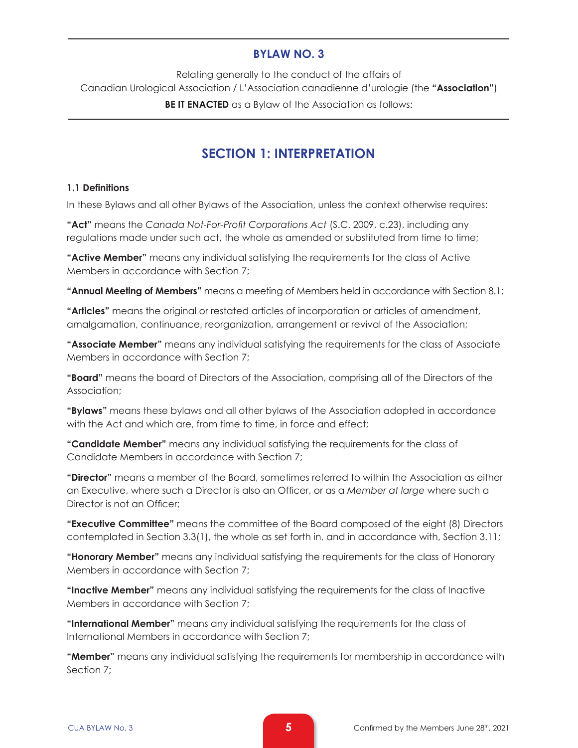#### **BYLAW NO. 3**

Relating generally to the conduct of the affairs of Canadian Urological Association / L'Association canadienne d'urologie (the **"Association"**) **BE IT ENACTED** as a Bylaw of the Association as follows:

# **SECTION 1: INTERPRETATION**

#### **1.1 Definitions**

In these Bylaws and all other Bylaws of the Association, unless the context otherwise requires:

**"Act"** means the *Canada Not-For-Profit Corporations Act* (S.C. 2009, c.23), including any regulations made under such act, the whole as amended or substituted from time to time;

**"Active Member"** means any individual satisfying the requirements for the class of Active Members in accordance with Section 7;

**"Annual Meeting of Members"** means a meeting of Members held in accordance with Section 8.1;

**"Articles"** means the original or restated articles of incorporation or articles of amendment, amalgamation, continuance, reorganization, arrangement or revival of the Association;

**"Associate Member"** means any individual satisfying the requirements for the class of Associate Members in accordance with Section 7;

**"Board"** means the board of Directors of the Association, comprising all of the Directors of the Association;

**"Bylaws"** means these bylaws and all other bylaws of the Association adopted in accordance with the Act and which are, from time to time, in force and effect:

**"Candidate Member"** means any individual satisfying the requirements for the class of Candidate Members in accordance with Section 7;

**"Director"** means a member of the Board, sometimes referred to within the Association as either an Executive, where such a Director is also an Officer, or as a *Member at large* where such a Director is not an Officer;

**"Executive Committee"** means the committee of the Board composed of the eight (8) Directors contemplated in Section 3.3(1), the whole as set forth in, and in accordance with, Section 3.11;

**"Honorary Member"** means any individual satisfying the requirements for the class of Honorary Members in accordance with Section 7;

**"Inactive Member"** means any individual satisfying the requirements for the class of Inactive Members in accordance with Section 7;

**"International Member"** means any individual satisfying the requirements for the class of International Members in accordance with Section 7;

**"Member"** means any individual satisfying the requirements for membership in accordance with Section 7;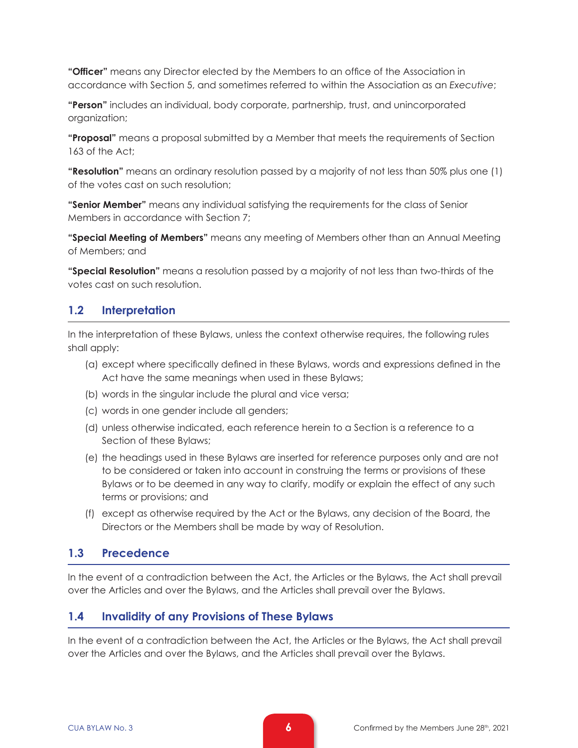**"Officer"** means any Director elected by the Members to an office of the Association in accordance with Section 5, and sometimes referred to within the Association as an *Executive*;

**"Person"** includes an individual, body corporate, partnership, trust, and unincorporated organization;

**"Proposal"** means a proposal submitted by a Member that meets the requirements of Section 163 of the Act;

**"Resolution"** means an ordinary resolution passed by a majority of not less than 50% plus one (1) of the votes cast on such resolution;

**"Senior Member"** means any individual satisfying the requirements for the class of Senior Members in accordance with Section 7;

**"Special Meeting of Members"** means any meeting of Members other than an Annual Meeting of Members; and

**"Special Resolution"** means a resolution passed by a majority of not less than two-thirds of the votes cast on such resolution.

# **1.2 Interpretation**

In the interpretation of these Bylaws, unless the context otherwise requires, the following rules shall apply:

- (a) except where specifically defined in these Bylaws, words and expressions defined in the Act have the same meanings when used in these Bylaws;
- (b) words in the singular include the plural and vice versa;
- (c) words in one gender include all genders;
- (d) unless otherwise indicated, each reference herein to a Section is a reference to a Section of these Bylaws;
- (e) the headings used in these Bylaws are inserted for reference purposes only and are not to be considered or taken into account in construing the terms or provisions of these Bylaws or to be deemed in any way to clarify, modify or explain the effect of any such terms or provisions; and
- (f) except as otherwise required by the Act or the Bylaws, any decision of the Board, the Directors or the Members shall be made by way of Resolution.

### **1.3 Precedence**

In the event of a contradiction between the Act, the Articles or the Bylaws, the Act shall prevail over the Articles and over the Bylaws, and the Articles shall prevail over the Bylaws.

#### **1.4 Invalidity of any Provisions of These Bylaws**

In the event of a contradiction between the Act, the Articles or the Bylaws, the Act shall prevail over the Articles and over the Bylaws, and the Articles shall prevail over the Bylaws.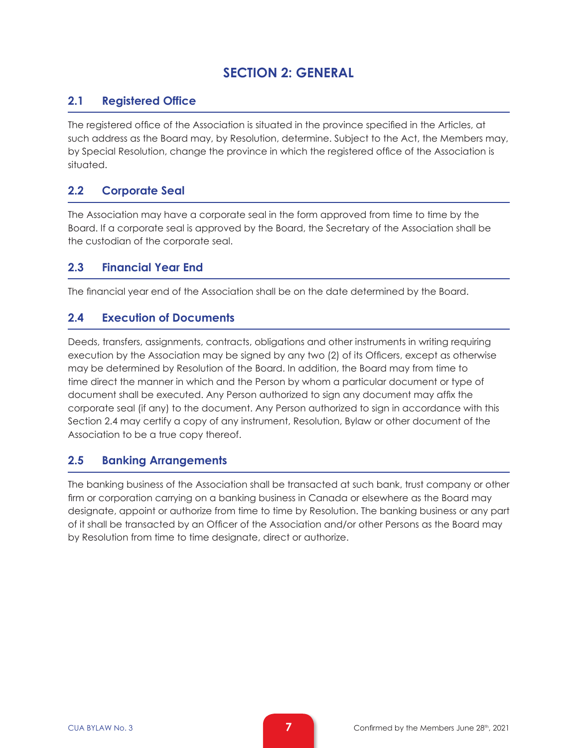# **SECTION 2: GENERAL**

# **2.1 Registered Office**

The registered office of the Association is situated in the province specified in the Articles, at such address as the Board may, by Resolution, determine. Subject to the Act, the Members may, by Special Resolution, change the province in which the registered office of the Association is situated.

# **2.2 Corporate Seal**

The Association may have a corporate seal in the form approved from time to time by the Board. If a corporate seal is approved by the Board, the Secretary of the Association shall be the custodian of the corporate seal.

### **2.3 Financial Year End**

The financial year end of the Association shall be on the date determined by the Board.

### **2.4 Execution of Documents**

Deeds, transfers, assignments, contracts, obligations and other instruments in writing requiring execution by the Association may be signed by any two (2) of its Officers, except as otherwise may be determined by Resolution of the Board. In addition, the Board may from time to time direct the manner in which and the Person by whom a particular document or type of document shall be executed. Any Person authorized to sign any document may affix the corporate seal (if any) to the document. Any Person authorized to sign in accordance with this Section 2.4 may certify a copy of any instrument, Resolution, Bylaw or other document of the Association to be a true copy thereof.

### **2.5 Banking Arrangements**

The banking business of the Association shall be transacted at such bank, trust company or other firm or corporation carrying on a banking business in Canada or elsewhere as the Board may designate, appoint or authorize from time to time by Resolution. The banking business or any part of it shall be transacted by an Officer of the Association and/or other Persons as the Board may by Resolution from time to time designate, direct or authorize.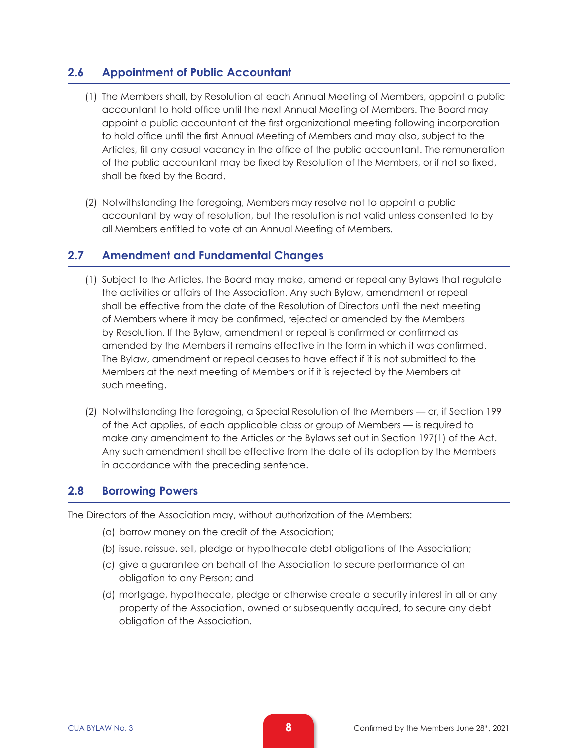## **2.6 Appointment of Public Accountant**

- (1) The Members shall, by Resolution at each Annual Meeting of Members, appoint a public accountant to hold office until the next Annual Meeting of Members. The Board may appoint a public accountant at the first organizational meeting following incorporation to hold office until the first Annual Meeting of Members and may also, subject to the Articles, fill any casual vacancy in the office of the public accountant. The remuneration of the public accountant may be fixed by Resolution of the Members, or if not so fixed, shall be fixed by the Board.
- (2) Notwithstanding the foregoing, Members may resolve not to appoint a public accountant by way of resolution, but the resolution is not valid unless consented to by all Members entitled to vote at an Annual Meeting of Members.

### **2.7 Amendment and Fundamental Changes**

- (1) Subject to the Articles, the Board may make, amend or repeal any Bylaws that regulate the activities or affairs of the Association. Any such Bylaw, amendment or repeal shall be effective from the date of the Resolution of Directors until the next meeting of Members where it may be confirmed, rejected or amended by the Members by Resolution. If the Bylaw, amendment or repeal is confirmed or confirmed as amended by the Members it remains effective in the form in which it was confirmed. The Bylaw, amendment or repeal ceases to have effect if it is not submitted to the Members at the next meeting of Members or if it is rejected by the Members at such meeting.
- (2) Notwithstanding the foregoing, a Special Resolution of the Members or, if Section 199 of the Act applies, of each applicable class or group of Members — is required to make any amendment to the Articles or the Bylaws set out in Section 197(1) of the Act. Any such amendment shall be effective from the date of its adoption by the Members in accordance with the preceding sentence.

#### **2.8 Borrowing Powers**

The Directors of the Association may, without authorization of the Members:

- (a) borrow money on the credit of the Association;
- (b) issue, reissue, sell, pledge or hypothecate debt obligations of the Association;
- (c) give a guarantee on behalf of the Association to secure performance of an obligation to any Person; and
- (d) mortgage, hypothecate, pledge or otherwise create a security interest in all or any property of the Association, owned or subsequently acquired, to secure any debt obligation of the Association.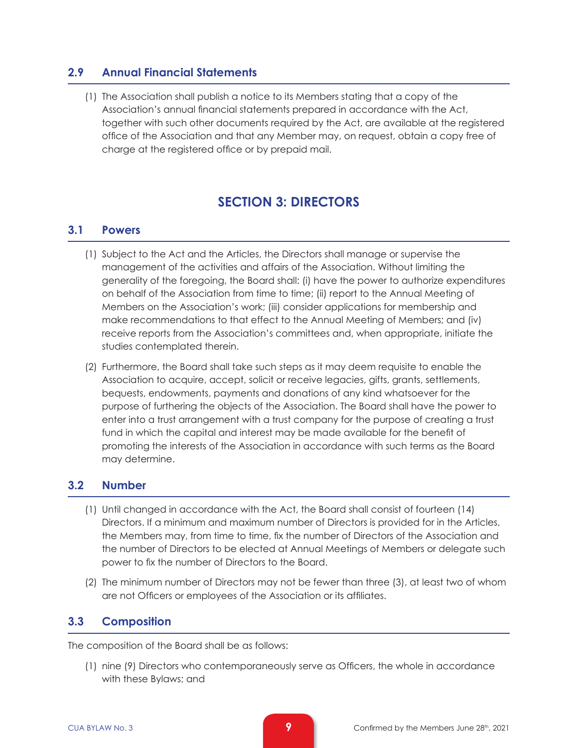#### **2.9 Annual Financial Statements**

(1) The Association shall publish a notice to its Members stating that a copy of the Association's annual financial statements prepared in accordance with the Act, together with such other documents required by the Act, are available at the registered office of the Association and that any Member may, on request, obtain a copy free of charge at the registered office or by prepaid mail.

# **SECTION 3: DIRECTORS**

#### **3.1 Powers**

- (1) Subject to the Act and the Articles, the Directors shall manage or supervise the management of the activities and affairs of the Association. Without limiting the generality of the foregoing, the Board shall: (i) have the power to authorize expenditures on behalf of the Association from time to time; (ii) report to the Annual Meeting of Members on the Association's work; (iii) consider applications for membership and make recommendations to that effect to the Annual Meeting of Members; and (iv) receive reports from the Association's committees and, when appropriate, initiate the studies contemplated therein.
- (2) Furthermore, the Board shall take such steps as it may deem requisite to enable the Association to acquire, accept, solicit or receive legacies, gifts, grants, settlements, bequests, endowments, payments and donations of any kind whatsoever for the purpose of furthering the objects of the Association. The Board shall have the power to enter into a trust arrangement with a trust company for the purpose of creating a trust fund in which the capital and interest may be made available for the benefit of promoting the interests of the Association in accordance with such terms as the Board may determine.

#### **3.2 Number**

- (1) Until changed in accordance with the Act, the Board shall consist of fourteen (14) Directors. If a minimum and maximum number of Directors is provided for in the Articles, the Members may, from time to time, fix the number of Directors of the Association and the number of Directors to be elected at Annual Meetings of Members or delegate such power to fix the number of Directors to the Board.
- (2) The minimum number of Directors may not be fewer than three (3), at least two of whom are not Officers or employees of the Association or its affiliates.

### **3.3 Composition**

The composition of the Board shall be as follows:

(1) nine (9) Directors who contemporaneously serve as Officers, the whole in accordance with these Bylaws; and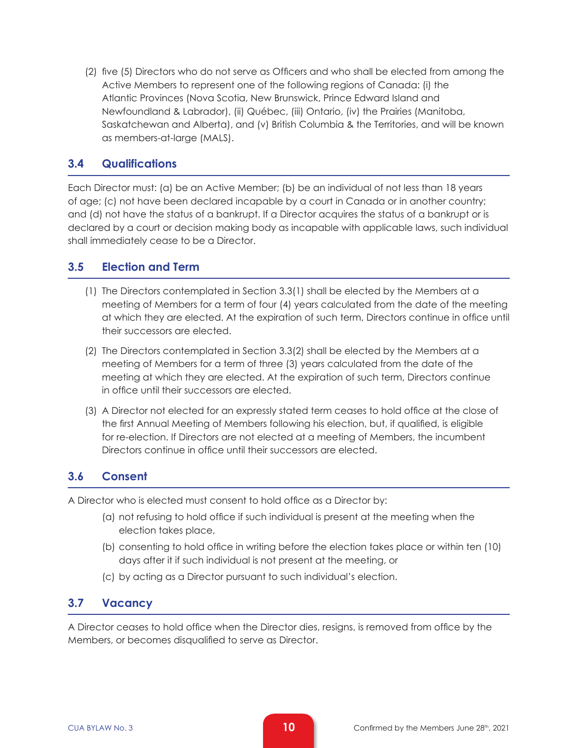(2) five (5) Directors who do not serve as Officers and who shall be elected from among the Active Members to represent one of the following regions of Canada: (i) the Atlantic Provinces (Nova Scotia, New Brunswick, Prince Edward Island and Newfoundland & Labrador), (ii) Québec, (iii) Ontario, (iv) the Prairies (Manitoba, Saskatchewan and Alberta), and (v) British Columbia & the Territories, and will be known as members-at-large (MALS).

#### **3.4 Qualifications**

Each Director must: (a) be an Active Member; (b) be an individual of not less than 18 years of age; (c) not have been declared incapable by a court in Canada or in another country; and (d) not have the status of a bankrupt. If a Director acquires the status of a bankrupt or is declared by a court or decision making body as incapable with applicable laws, such individual shall immediately cease to be a Director.

#### **3.5 Election and Term**

- (1) The Directors contemplated in Section 3.3(1) shall be elected by the Members at a meeting of Members for a term of four (4) years calculated from the date of the meeting at which they are elected. At the expiration of such term, Directors continue in office until their successors are elected.
- (2) The Directors contemplated in Section 3.3(2) shall be elected by the Members at a meeting of Members for a term of three (3) years calculated from the date of the meeting at which they are elected. At the expiration of such term, Directors continue in office until their successors are elected.
- (3) A Director not elected for an expressly stated term ceases to hold office at the close of the first Annual Meeting of Members following his election, but, if qualified, is eligible for re-election. If Directors are not elected at a meeting of Members, the incumbent Directors continue in office until their successors are elected.

#### **3.6 Consent**

A Director who is elected must consent to hold office as a Director by:

- (a) not refusing to hold office if such individual is present at the meeting when the election takes place,
- (b) consenting to hold office in writing before the election takes place or within ten (10) days after it if such individual is not present at the meeting, or
- (c) by acting as a Director pursuant to such individual's election.

### **3.7 Vacancy**

A Director ceases to hold office when the Director dies, resigns, is removed from office by the Members, or becomes disqualified to serve as Director.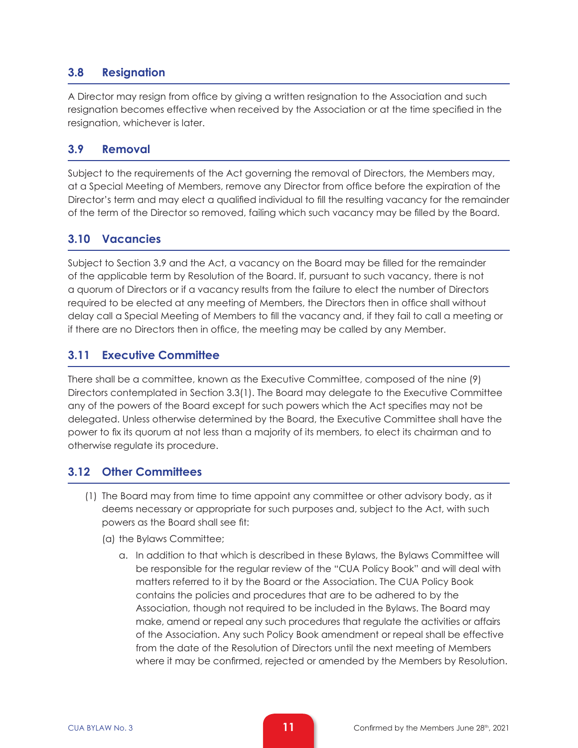# **3.8 Resignation**

A Director may resign from office by giving a written resignation to the Association and such resignation becomes effective when received by the Association or at the time specified in the resignation, whichever is later.

### **3.9 Removal**

Subject to the requirements of the Act governing the removal of Directors, the Members may, at a Special Meeting of Members, remove any Director from office before the expiration of the Director's term and may elect a qualified individual to fill the resulting vacancy for the remainder of the term of the Director so removed, failing which such vacancy may be filled by the Board.

# **3.10 Vacancies**

Subject to Section 3.9 and the Act, a vacancy on the Board may be filled for the remainder of the applicable term by Resolution of the Board. If, pursuant to such vacancy, there is not a quorum of Directors or if a vacancy results from the failure to elect the number of Directors required to be elected at any meeting of Members, the Directors then in office shall without delay call a Special Meeting of Members to fill the vacancy and, if they fail to call a meeting or if there are no Directors then in office, the meeting may be called by any Member.

# **3.11 Executive Committee**

There shall be a committee, known as the Executive Committee, composed of the nine (9) Directors contemplated in Section 3.3(1). The Board may delegate to the Executive Committee any of the powers of the Board except for such powers which the Act specifies may not be delegated. Unless otherwise determined by the Board, the Executive Committee shall have the power to fix its quorum at not less than a majority of its members, to elect its chairman and to otherwise regulate its procedure.

# **3.12 Other Committees**

- (1) The Board may from time to time appoint any committee or other advisory body, as it deems necessary or appropriate for such purposes and, subject to the Act, with such powers as the Board shall see fit:
	- (a) the Bylaws Committee;
		- a. In addition to that which is described in these Bylaws, the Bylaws Committee will be responsible for the regular review of the "CUA Policy Book" and will deal with matters referred to it by the Board or the Association. The CUA Policy Book contains the policies and procedures that are to be adhered to by the Association, though not required to be included in the Bylaws. The Board may make, amend or repeal any such procedures that regulate the activities or affairs of the Association. Any such Policy Book amendment or repeal shall be effective from the date of the Resolution of Directors until the next meeting of Members where it may be confirmed, rejected or amended by the Members by Resolution.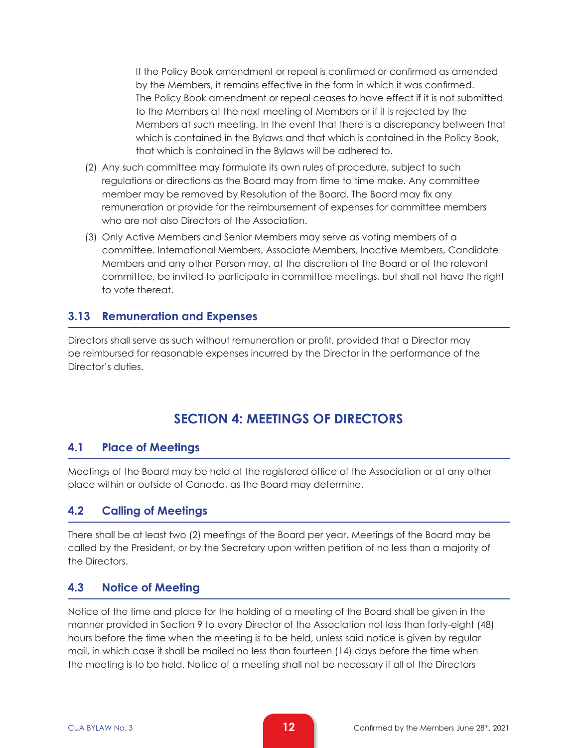If the Policy Book amendment or repeal is confirmed or confirmed as amended by the Members, it remains effective in the form in which it was confirmed. The Policy Book amendment or repeal ceases to have effect if it is not submitted to the Members at the next meeting of Members or if it is rejected by the Members at such meeting. In the event that there is a discrepancy between that which is contained in the Bylaws and that which is contained in the Policy Book, that which is contained in the Bylaws will be adhered to.

- (2) Any such committee may formulate its own rules of procedure, subject to such regulations or directions as the Board may from time to time make. Any committee member may be removed by Resolution of the Board. The Board may fix any remuneration or provide for the reimbursement of expenses for committee members who are not also Directors of the Association.
- (3) Only Active Members and Senior Members may serve as voting members of a committee. International Members, Associate Members, Inactive Members, Candidate Members and any other Person may, at the discretion of the Board or of the relevant committee, be invited to participate in committee meetings, but shall not have the right to vote thereat.

#### **3.13 Remuneration and Expenses**

Directors shall serve as such without remuneration or profit, provided that a Director may be reimbursed for reasonable expenses incurred by the Director in the performance of the Director's duties.

# **SECTION 4: MEETINGS OF DIRECTORS**

#### **4.1 Place of Meetings**

Meetings of the Board may be held at the registered office of the Association or at any other place within or outside of Canada, as the Board may determine.

#### **4.2 Calling of Meetings**

There shall be at least two (2) meetings of the Board per year. Meetings of the Board may be called by the President, or by the Secretary upon written petition of no less than a majority of the Directors.

#### **4.3 Notice of Meeting**

Notice of the time and place for the holding of a meeting of the Board shall be given in the manner provided in Section 9 to every Director of the Association not less than forty-eight (48) hours before the time when the meeting is to be held, unless said notice is given by regular mail, in which case it shall be mailed no less than fourteen (14) days before the time when the meeting is to be held. Notice of a meeting shall not be necessary if all of the Directors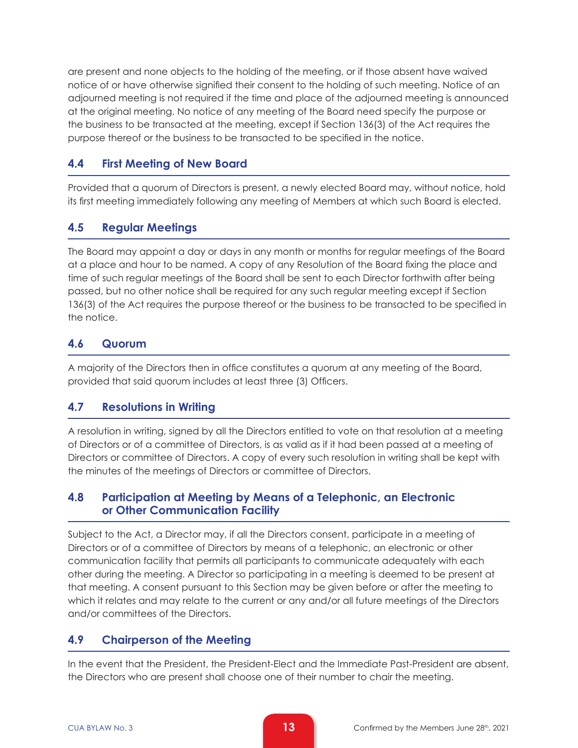are present and none objects to the holding of the meeting, or if those absent have waived notice of or have otherwise signified their consent to the holding of such meeting. Notice of an adjourned meeting is not required if the time and place of the adjourned meeting is announced at the original meeting. No notice of any meeting of the Board need specify the purpose or the business to be transacted at the meeting, except if Section 136(3) of the Act requires the purpose thereof or the business to be transacted to be specified in the notice.

# **4.4 First Meeting of New Board**

Provided that a quorum of Directors is present, a newly elected Board may, without notice, hold its first meeting immediately following any meeting of Members at which such Board is elected.

# **4.5 Regular Meetings**

The Board may appoint a day or days in any month or months for regular meetings of the Board at a place and hour to be named. A copy of any Resolution of the Board fixing the place and time of such regular meetings of the Board shall be sent to each Director forthwith after being passed, but no other notice shall be required for any such regular meeting except if Section 136(3) of the Act requires the purpose thereof or the business to be transacted to be specified in the notice.

# **4.6 Quorum**

A majority of the Directors then in office constitutes a quorum at any meeting of the Board, provided that said quorum includes at least three (3) Officers.

### **4.7 Resolutions in Writing**

A resolution in writing, signed by all the Directors entitled to vote on that resolution at a meeting of Directors or of a committee of Directors, is as valid as if it had been passed at a meeting of Directors or committee of Directors. A copy of every such resolution in writing shall be kept with the minutes of the meetings of Directors or committee of Directors.

#### **4.8 Participation at Meeting by Means of a Telephonic, an Electronic or Other Communication Facility**

Subject to the Act, a Director may, if all the Directors consent, participate in a meeting of Directors or of a committee of Directors by means of a telephonic, an electronic or other communication facility that permits all participants to communicate adequately with each other during the meeting. A Director so participating in a meeting is deemed to be present at that meeting. A consent pursuant to this Section may be given before or after the meeting to which it relates and may relate to the current or any and/or all future meetings of the Directors and/or committees of the Directors.

### **4.9 Chairperson of the Meeting**

In the event that the President, the President-Elect and the Immediate Past-President are absent, the Directors who are present shall choose one of their number to chair the meeting.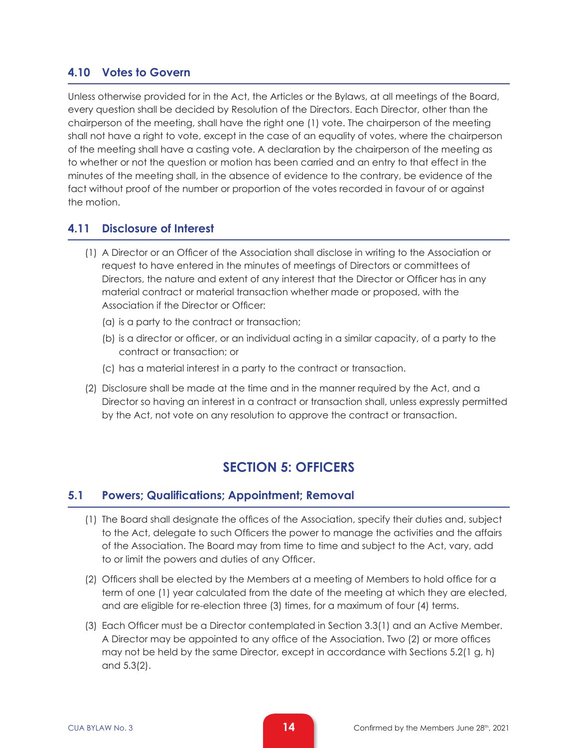# **4.10 Votes to Govern**

Unless otherwise provided for in the Act, the Articles or the Bylaws, at all meetings of the Board, every question shall be decided by Resolution of the Directors. Each Director, other than the chairperson of the meeting, shall have the right one (1) vote. The chairperson of the meeting shall not have a right to vote, except in the case of an equality of votes, where the chairperson of the meeting shall have a casting vote. A declaration by the chairperson of the meeting as to whether or not the question or motion has been carried and an entry to that effect in the minutes of the meeting shall, in the absence of evidence to the contrary, be evidence of the fact without proof of the number or proportion of the votes recorded in favour of or against the motion.

### **4.11 Disclosure of Interest**

- (1) A Director or an Officer of the Association shall disclose in writing to the Association or request to have entered in the minutes of meetings of Directors or committees of Directors, the nature and extent of any interest that the Director or Officer has in any material contract or material transaction whether made or proposed, with the Association if the Director or Officer:
	- (a) is a party to the contract or transaction;
	- (b) is a director or officer, or an individual acting in a similar capacity, of a party to the contract or transaction; or
	- (c) has a material interest in a party to the contract or transaction.
- (2) Disclosure shall be made at the time and in the manner required by the Act, and a Director so having an interest in a contract or transaction shall, unless expressly permitted by the Act, not vote on any resolution to approve the contract or transaction.

# **SECTION 5: OFFICERS**

### **5.1 Powers; Qualifications; Appointment; Removal**

- (1) The Board shall designate the offices of the Association, specify their duties and, subject to the Act, delegate to such Officers the power to manage the activities and the affairs of the Association. The Board may from time to time and subject to the Act, vary, add to or limit the powers and duties of any Officer.
- (2) Officers shall be elected by the Members at a meeting of Members to hold office for a term of one (1) year calculated from the date of the meeting at which they are elected, and are eligible for re-election three (3) times, for a maximum of four (4) terms.
- (3) Each Officer must be a Director contemplated in Section 3.3(1) and an Active Member. A Director may be appointed to any office of the Association. Two (2) or more offices may not be held by the same Director, except in accordance with Sections 5.2(1 g, h) and 5.3(2).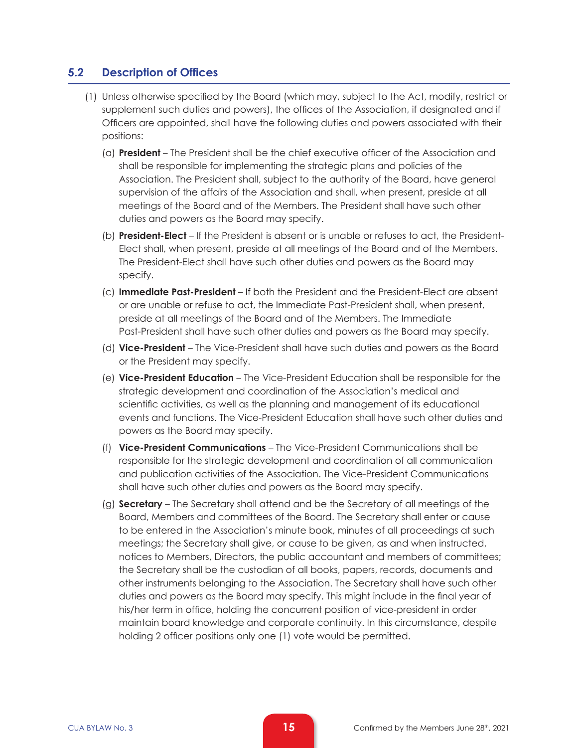#### **5.2 Description of Offices**

- (1) Unless otherwise specified by the Board (which may, subject to the Act, modify, restrict or supplement such duties and powers), the offices of the Association, if designated and if Officers are appointed, shall have the following duties and powers associated with their positions:
	- (a) **President** The President shall be the chief executive officer of the Association and shall be responsible for implementing the strategic plans and policies of the Association. The President shall, subject to the authority of the Board, have general supervision of the affairs of the Association and shall, when present, preside at all meetings of the Board and of the Members. The President shall have such other duties and powers as the Board may specify.
	- (b) **President-Elect** If the President is absent or is unable or refuses to act, the President-Elect shall, when present, preside at all meetings of the Board and of the Members. The President-Elect shall have such other duties and powers as the Board may specify.
	- (c) **Immediate Past-President**  If both the President and the President-Elect are absent or are unable or refuse to act, the Immediate Past-President shall, when present, preside at all meetings of the Board and of the Members. The Immediate Past-President shall have such other duties and powers as the Board may specify.
	- (d) **Vice-President**  The Vice-President shall have such duties and powers as the Board or the President may specify.
	- (e) **Vice-President Education**  The Vice-President Education shall be responsible for the strategic development and coordination of the Association's medical and scientific activities, as well as the planning and management of its educational events and functions. The Vice-President Education shall have such other duties and powers as the Board may specify.
	- (f) **Vice-President Communications**  The Vice-President Communications shall be responsible for the strategic development and coordination of all communication and publication activities of the Association. The Vice-President Communications shall have such other duties and powers as the Board may specify.
	- (g) **Secretary** The Secretary shall attend and be the Secretary of all meetings of the Board, Members and committees of the Board. The Secretary shall enter or cause to be entered in the Association's minute book, minutes of all proceedings at such meetings; the Secretary shall give, or cause to be given, as and when instructed, notices to Members, Directors, the public accountant and members of committees; the Secretary shall be the custodian of all books, papers, records, documents and other instruments belonging to the Association. The Secretary shall have such other duties and powers as the Board may specify. This might include in the final year of his/her term in office, holding the concurrent position of vice-president in order maintain board knowledge and corporate continuity. In this circumstance, despite holding 2 officer positions only one (1) vote would be permitted.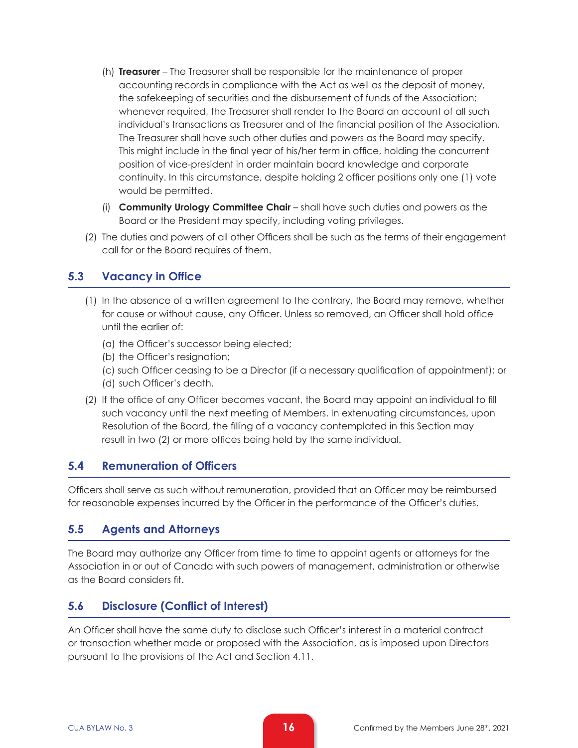- (h) **Treasurer**  The Treasurer shall be responsible for the maintenance of proper accounting records in compliance with the Act as well as the deposit of money, the safekeeping of securities and the disbursement of funds of the Association; whenever required, the Treasurer shall render to the Board an account of all such individual's transactions as Treasurer and of the financial position of the Association. The Treasurer shall have such other duties and powers as the Board may specify. This might include in the final year of his/her term in office, holding the concurrent position of vice-president in order maintain board knowledge and corporate continuity. In this circumstance, despite holding 2 officer positions only one (1) vote would be permitted.
- (i) **Community Urology Committee Chair**  shall have such duties and powers as the Board or the President may specify, including voting privileges.
- (2) The duties and powers of all other Officers shall be such as the terms of their engagement call for or the Board requires of them.

### **5.3 Vacancy in Office**

- (1) In the absence of a written agreement to the contrary, the Board may remove, whether for cause or without cause, any Officer. Unless so removed, an Officer shall hold office until the earlier of:
	- (a) the Officer's successor being elected;
	- (b) the Officer's resignation;
	- (c) such Officer ceasing to be a Director (if a necessary qualification of appointment); or (d) such Officer's death.
- (2) If the office of any Officer becomes vacant, the Board may appoint an individual to fill such vacancy until the next meeting of Members. In extenuating circumstances, upon Resolution of the Board, the filling of a vacancy contemplated in this Section may result in two (2) or more offices being held by the same individual.

### **5.4 Remuneration of Officers**

Officers shall serve as such without remuneration, provided that an Officer may be reimbursed for reasonable expenses incurred by the Officer in the performance of the Officer's duties.

### **5.5 Agents and Attorneys**

The Board may authorize any Officer from time to time to appoint agents or attorneys for the Association in or out of Canada with such powers of management, administration or otherwise as the Board considers fit.

# **5.6 Disclosure (Conflict of Interest)**

An Officer shall have the same duty to disclose such Officer's interest in a material contract or transaction whether made or proposed with the Association, as is imposed upon Directors pursuant to the provisions of the Act and Section 4.11.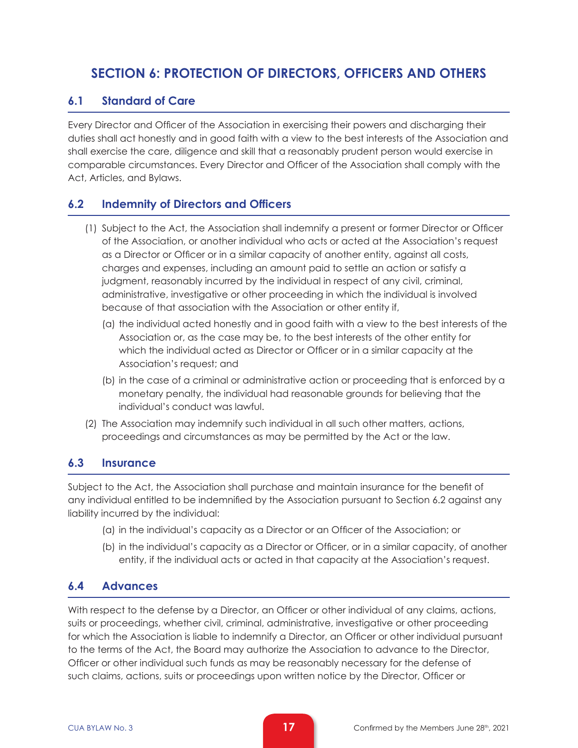# **SECTION 6: PROTECTION OF DIRECTORS, OFFICERS AND OTHERS**

## **6.1 Standard of Care**

Every Director and Officer of the Association in exercising their powers and discharging their duties shall act honestly and in good faith with a view to the best interests of the Association and shall exercise the care, diligence and skill that a reasonably prudent person would exercise in comparable circumstances. Every Director and Officer of the Association shall comply with the Act, Articles, and Bylaws.

# **6.2 Indemnity of Directors and Officers**

- (1) Subject to the Act, the Association shall indemnify a present or former Director or Officer of the Association, or another individual who acts or acted at the Association's request as a Director or Officer or in a similar capacity of another entity, against all costs, charges and expenses, including an amount paid to settle an action or satisfy a judgment, reasonably incurred by the individual in respect of any civil, criminal, administrative, investigative or other proceeding in which the individual is involved because of that association with the Association or other entity if,
	- (a) the individual acted honestly and in good faith with a view to the best interests of the Association or, as the case may be, to the best interests of the other entity for which the individual acted as Director or Officer or in a similar capacity at the Association's request; and
	- (b) in the case of a criminal or administrative action or proceeding that is enforced by a monetary penalty, the individual had reasonable grounds for believing that the individual's conduct was lawful.
- (2) The Association may indemnify such individual in all such other matters, actions, proceedings and circumstances as may be permitted by the Act or the law.

### **6.3 Insurance**

Subject to the Act, the Association shall purchase and maintain insurance for the benefit of any individual entitled to be indemnified by the Association pursuant to Section 6.2 against any liability incurred by the individual:

- (a) in the individual's capacity as a Director or an Officer of the Association; or
- (b) in the individual's capacity as a Director or Officer, or in a similar capacity, of another entity, if the individual acts or acted in that capacity at the Association's request.

### **6.4 Advances**

With respect to the defense by a Director, an Officer or other individual of any claims, actions, suits or proceedings, whether civil, criminal, administrative, investigative or other proceeding for which the Association is liable to indemnify a Director, an Officer or other individual pursuant to the terms of the Act, the Board may authorize the Association to advance to the Director, Officer or other individual such funds as may be reasonably necessary for the defense of such claims, actions, suits or proceedings upon written notice by the Director, Officer or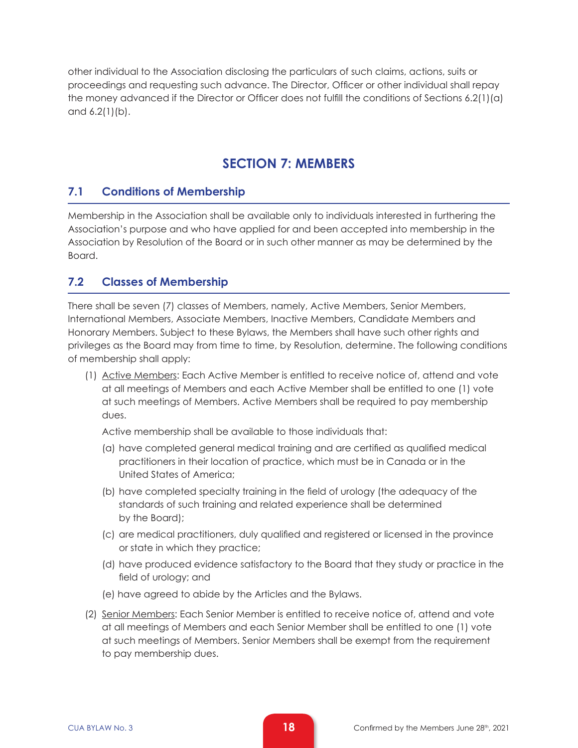other individual to the Association disclosing the particulars of such claims, actions, suits or proceedings and requesting such advance. The Director, Officer or other individual shall repay the money advanced if the Director or Officer does not fulfill the conditions of Sections 6.2(1)(a) and 6.2(1)(b).

# **SECTION 7: MEMBERS**

# **7.1 Conditions of Membership**

Membership in the Association shall be available only to individuals interested in furthering the Association's purpose and who have applied for and been accepted into membership in the Association by Resolution of the Board or in such other manner as may be determined by the Board.

# **7.2 Classes of Membership**

There shall be seven (7) classes of Members, namely, Active Members, Senior Members, International Members, Associate Members, Inactive Members, Candidate Members and Honorary Members. Subject to these Bylaws, the Members shall have such other rights and privileges as the Board may from time to time, by Resolution, determine. The following conditions of membership shall apply:

(1) Active Members: Each Active Member is entitled to receive notice of, attend and vote at all meetings of Members and each Active Member shall be entitled to one (1) vote at such meetings of Members. Active Members shall be required to pay membership dues.

Active membership shall be available to those individuals that:

- (a) have completed general medical training and are certified as qualified medical practitioners in their location of practice, which must be in Canada or in the United States of America;
- (b) have completed specialty training in the field of urology (the adequacy of the standards of such training and related experience shall be determined by the Board);
- (c) are medical practitioners, duly qualified and registered or licensed in the province or state in which they practice;
- (d) have produced evidence satisfactory to the Board that they study or practice in the field of urology; and
- (e) have agreed to abide by the Articles and the Bylaws.
- (2) Senior Members: Each Senior Member is entitled to receive notice of, attend and vote at all meetings of Members and each Senior Member shall be entitled to one (1) vote at such meetings of Members. Senior Members shall be exempt from the requirement to pay membership dues.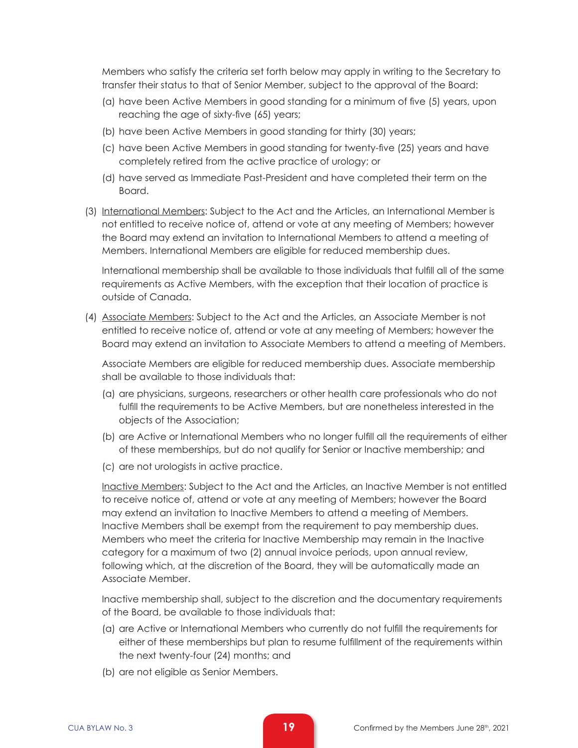Members who satisfy the criteria set forth below may apply in writing to the Secretary to transfer their status to that of Senior Member, subject to the approval of the Board:

- (a) have been Active Members in good standing for a minimum of five (5) years, upon reaching the age of sixty-five (65) years;
- (b) have been Active Members in good standing for thirty (30) years;
- (c) have been Active Members in good standing for twenty-five (25) years and have completely retired from the active practice of urology; or
- (d) have served as Immediate Past-President and have completed their term on the Board.
- (3) International Members: Subject to the Act and the Articles, an International Member is not entitled to receive notice of, attend or vote at any meeting of Members; however the Board may extend an invitation to International Members to attend a meeting of Members. International Members are eligible for reduced membership dues.

International membership shall be available to those individuals that fulfill all of the same requirements as Active Members, with the exception that their location of practice is outside of Canada.

(4) Associate Members: Subject to the Act and the Articles, an Associate Member is not entitled to receive notice of, attend or vote at any meeting of Members; however the Board may extend an invitation to Associate Members to attend a meeting of Members.

Associate Members are eligible for reduced membership dues. Associate membership shall be available to those individuals that:

- (a) are physicians, surgeons, researchers or other health care professionals who do not fulfill the requirements to be Active Members, but are nonetheless interested in the objects of the Association;
- (b) are Active or International Members who no longer fulfill all the requirements of either of these memberships, but do not qualify for Senior or Inactive membership; and
- (c) are not urologists in active practice.

 Inactive Members: Subject to the Act and the Articles, an Inactive Member is not entitled to receive notice of, attend or vote at any meeting of Members; however the Board may extend an invitation to Inactive Members to attend a meeting of Members. Inactive Members shall be exempt from the requirement to pay membership dues. Members who meet the criteria for Inactive Membership may remain in the Inactive category for a maximum of two (2) annual invoice periods, upon annual review, following which, at the discretion of the Board, they will be automatically made an Associate Member.

Inactive membership shall, subject to the discretion and the documentary requirements of the Board, be available to those individuals that:

- (a) are Active or International Members who currently do not fulfill the requirements for either of these memberships but plan to resume fulfillment of the requirements within the next twenty-four (24) months; and
- (b) are not eligible as Senior Members.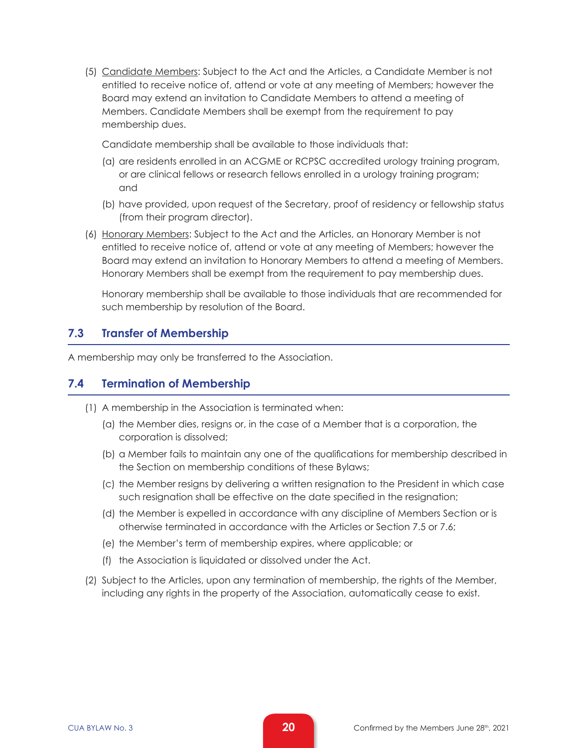(5) Candidate Members: Subject to the Act and the Articles, a Candidate Member is not entitled to receive notice of, attend or vote at any meeting of Members; however the Board may extend an invitation to Candidate Members to attend a meeting of Members. Candidate Members shall be exempt from the requirement to pay membership dues.

Candidate membership shall be available to those individuals that:

- (a) are residents enrolled in an ACGME or RCPSC accredited urology training program, or are clinical fellows or research fellows enrolled in a urology training program; and
- (b) have provided, upon request of the Secretary, proof of residency or fellowship status (from their program director).
- (6) Honorary Members: Subject to the Act and the Articles, an Honorary Member is not entitled to receive notice of, attend or vote at any meeting of Members; however the Board may extend an invitation to Honorary Members to attend a meeting of Members. Honorary Members shall be exempt from the requirement to pay membership dues.

Honorary membership shall be available to those individuals that are recommended for such membership by resolution of the Board.

#### **7.3 Transfer of Membership**

A membership may only be transferred to the Association.

#### **7.4 Termination of Membership**

- (1) A membership in the Association is terminated when:
	- (a) the Member dies, resigns or, in the case of a Member that is a corporation, the corporation is dissolved;
	- (b) a Member fails to maintain any one of the qualifications for membership described in the Section on membership conditions of these Bylaws;
	- (c) the Member resigns by delivering a written resignation to the President in which case such resignation shall be effective on the date specified in the resignation;
	- (d) the Member is expelled in accordance with any discipline of Members Section or is otherwise terminated in accordance with the Articles or Section 7.5 or 7.6;
	- (e) the Member's term of membership expires, where applicable; or
	- (f) the Association is liquidated or dissolved under the Act.
- (2) Subject to the Articles, upon any termination of membership, the rights of the Member, including any rights in the property of the Association, automatically cease to exist.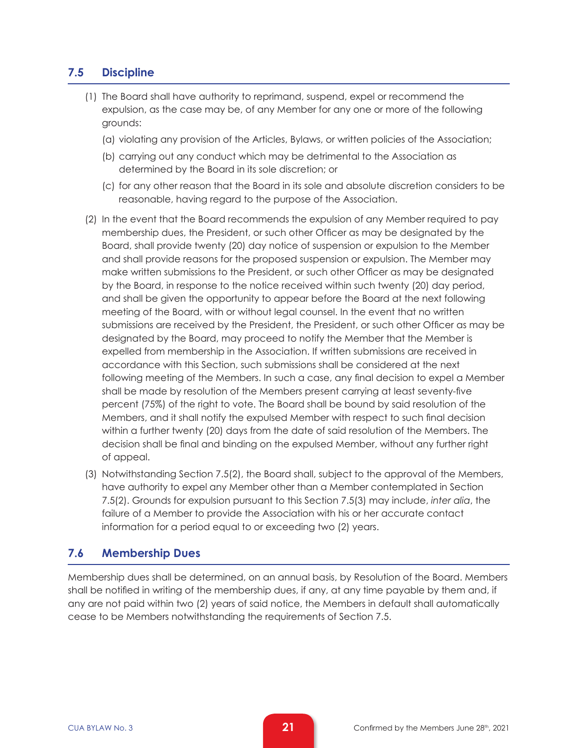## **7.5 Discipline**

- (1) The Board shall have authority to reprimand, suspend, expel or recommend the expulsion, as the case may be, of any Member for any one or more of the following grounds:
	- (a) violating any provision of the Articles, Bylaws, or written policies of the Association;
	- (b) carrying out any conduct which may be detrimental to the Association as determined by the Board in its sole discretion; or
	- (c) for any other reason that the Board in its sole and absolute discretion considers to be reasonable, having regard to the purpose of the Association.
- (2) In the event that the Board recommends the expulsion of any Member required to pay membership dues, the President, or such other Officer as may be designated by the Board, shall provide twenty (20) day notice of suspension or expulsion to the Member and shall provide reasons for the proposed suspension or expulsion. The Member may make written submissions to the President, or such other Officer as may be designated by the Board, in response to the notice received within such twenty (20) day period, and shall be given the opportunity to appear before the Board at the next following meeting of the Board, with or without legal counsel. In the event that no written submissions are received by the President, the President, or such other Officer as may be designated by the Board, may proceed to notify the Member that the Member is expelled from membership in the Association. If written submissions are received in accordance with this Section, such submissions shall be considered at the next following meeting of the Members. In such a case, any final decision to expel a Member shall be made by resolution of the Members present carrying at least seventy-five percent (75%) of the right to vote. The Board shall be bound by said resolution of the Members, and it shall notify the expulsed Member with respect to such final decision within a further twenty (20) days from the date of said resolution of the Members. The decision shall be final and binding on the expulsed Member, without any further right of appeal.
- (3) Notwithstanding Section 7.5(2), the Board shall, subject to the approval of the Members, have authority to expel any Member other than a Member contemplated in Section 7.5(2). Grounds for expulsion pursuant to this Section 7.5(3) may include, *inter alia*, the failure of a Member to provide the Association with his or her accurate contact information for a period equal to or exceeding two (2) years.

### **7.6 Membership Dues**

Membership dues shall be determined, on an annual basis, by Resolution of the Board. Members shall be notified in writing of the membership dues, if any, at any time payable by them and, if any are not paid within two (2) years of said notice, the Members in default shall automatically cease to be Members notwithstanding the requirements of Section 7.5.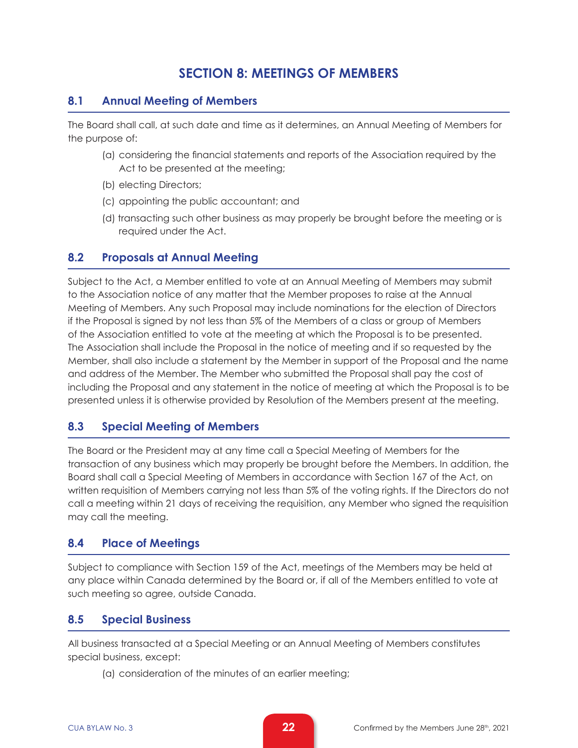# **SECTION 8: MEETINGS OF MEMBERS**

# **8.1 Annual Meeting of Members**

The Board shall call, at such date and time as it determines, an Annual Meeting of Members for the purpose of:

- (a) considering the financial statements and reports of the Association required by the Act to be presented at the meeting;
- (b) electing Directors;
- (c) appointing the public accountant; and
- (d) transacting such other business as may properly be brought before the meeting or is required under the Act.

### **8.2 Proposals at Annual Meeting**

Subject to the Act, a Member entitled to vote at an Annual Meeting of Members may submit to the Association notice of any matter that the Member proposes to raise at the Annual Meeting of Members. Any such Proposal may include nominations for the election of Directors if the Proposal is signed by not less than 5% of the Members of a class or group of Members of the Association entitled to vote at the meeting at which the Proposal is to be presented. The Association shall include the Proposal in the notice of meeting and if so requested by the Member, shall also include a statement by the Member in support of the Proposal and the name and address of the Member. The Member who submitted the Proposal shall pay the cost of including the Proposal and any statement in the notice of meeting at which the Proposal is to be presented unless it is otherwise provided by Resolution of the Members present at the meeting.

### **8.3 Special Meeting of Members**

The Board or the President may at any time call a Special Meeting of Members for the transaction of any business which may properly be brought before the Members. In addition, the Board shall call a Special Meeting of Members in accordance with Section 167 of the Act, on written requisition of Members carrying not less than 5% of the voting rights. If the Directors do not call a meeting within 21 days of receiving the requisition, any Member who signed the requisition may call the meeting.

### **8.4 Place of Meetings**

Subject to compliance with Section 159 of the Act, meetings of the Members may be held at any place within Canada determined by the Board or, if all of the Members entitled to vote at such meeting so agree, outside Canada.

### **8.5 Special Business**

All business transacted at a Special Meeting or an Annual Meeting of Members constitutes special business, except:

(a) consideration of the minutes of an earlier meeting;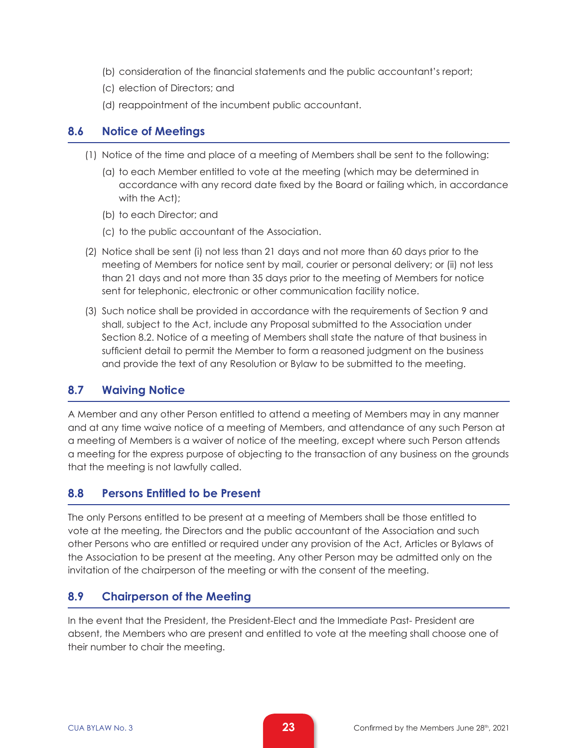- (b) consideration of the financial statements and the public accountant's report;
- (c) election of Directors; and
- (d) reappointment of the incumbent public accountant.

#### **8.6 Notice of Meetings**

- (1) Notice of the time and place of a meeting of Members shall be sent to the following:
	- (a) to each Member entitled to vote at the meeting (which may be determined in accordance with any record date fixed by the Board or failing which, in accordance with the Act);
	- (b) to each Director; and
	- (c) to the public accountant of the Association.
- (2) Notice shall be sent (i) not less than 21 days and not more than 60 days prior to the meeting of Members for notice sent by mail, courier or personal delivery; or (ii) not less than 21 days and not more than 35 days prior to the meeting of Members for notice sent for telephonic, electronic or other communication facility notice.
- (3) Such notice shall be provided in accordance with the requirements of Section 9 and shall, subject to the Act, include any Proposal submitted to the Association under Section 8.2. Notice of a meeting of Members shall state the nature of that business in sufficient detail to permit the Member to form a reasoned judgment on the business and provide the text of any Resolution or Bylaw to be submitted to the meeting.

#### **8.7 Waiving Notice**

A Member and any other Person entitled to attend a meeting of Members may in any manner and at any time waive notice of a meeting of Members, and attendance of any such Person at a meeting of Members is a waiver of notice of the meeting, except where such Person attends a meeting for the express purpose of objecting to the transaction of any business on the grounds that the meeting is not lawfully called.

#### **8.8 Persons Entitled to be Present**

The only Persons entitled to be present at a meeting of Members shall be those entitled to vote at the meeting, the Directors and the public accountant of the Association and such other Persons who are entitled or required under any provision of the Act, Articles or Bylaws of the Association to be present at the meeting. Any other Person may be admitted only on the invitation of the chairperson of the meeting or with the consent of the meeting.

#### **8.9 Chairperson of the Meeting**

In the event that the President, the President-Elect and the Immediate Past- President are absent, the Members who are present and entitled to vote at the meeting shall choose one of their number to chair the meeting.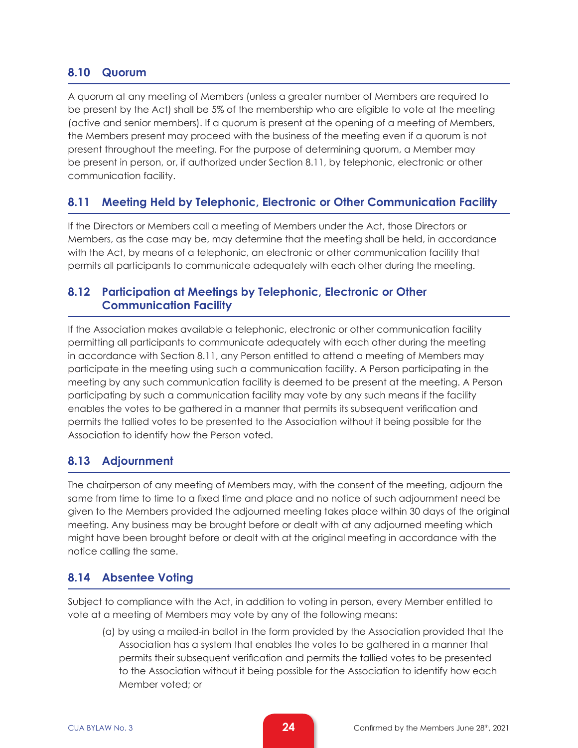## **8.10 Quorum**

A quorum at any meeting of Members (unless a greater number of Members are required to be present by the Act) shall be 5% of the membership who are eligible to vote at the meeting (active and senior members). If a quorum is present at the opening of a meeting of Members, the Members present may proceed with the business of the meeting even if a quorum is not present throughout the meeting. For the purpose of determining quorum, a Member may be present in person, or, if authorized under Section 8.11, by telephonic, electronic or other communication facility.

# **8.11 Meeting Held by Telephonic, Electronic or Other Communication Facility**

If the Directors or Members call a meeting of Members under the Act, those Directors or Members, as the case may be, may determine that the meeting shall be held, in accordance with the Act, by means of a telephonic, an electronic or other communication facility that permits all participants to communicate adequately with each other during the meeting.

## **8.12 Participation at Meetings by Telephonic, Electronic or Other Communication Facility**

If the Association makes available a telephonic, electronic or other communication facility permitting all participants to communicate adequately with each other during the meeting in accordance with Section 8.11, any Person entitled to attend a meeting of Members may participate in the meeting using such a communication facility. A Person participating in the meeting by any such communication facility is deemed to be present at the meeting. A Person participating by such a communication facility may vote by any such means if the facility enables the votes to be gathered in a manner that permits its subsequent verification and permits the tallied votes to be presented to the Association without it being possible for the Association to identify how the Person voted.

### **8.13 Adjournment**

The chairperson of any meeting of Members may, with the consent of the meeting, adjourn the same from time to time to a fixed time and place and no notice of such adjournment need be given to the Members provided the adjourned meeting takes place within 30 days of the original meeting. Any business may be brought before or dealt with at any adjourned meeting which might have been brought before or dealt with at the original meeting in accordance with the notice calling the same.

### **8.14 Absentee Voting**

Subject to compliance with the Act, in addition to voting in person, every Member entitled to vote at a meeting of Members may vote by any of the following means:

(a) by using a mailed-in ballot in the form provided by the Association provided that the Association has a system that enables the votes to be gathered in a manner that permits their subsequent verification and permits the tallied votes to be presented to the Association without it being possible for the Association to identify how each Member voted; or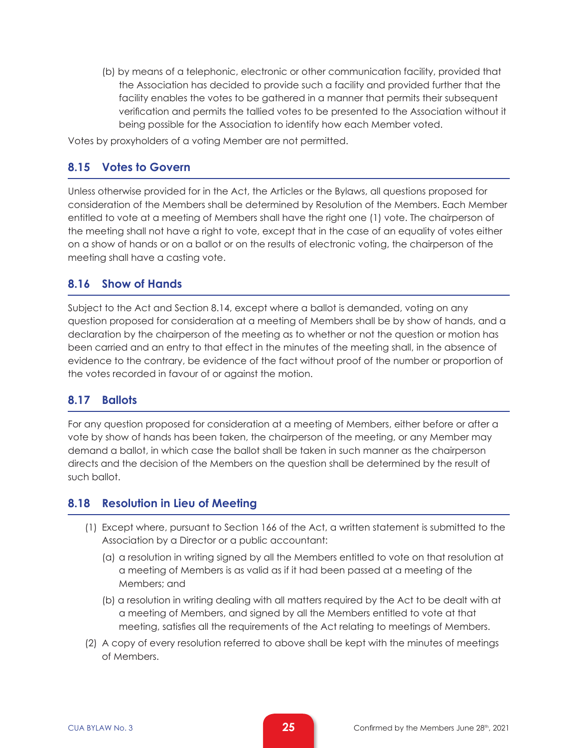(b) by means of a telephonic, electronic or other communication facility, provided that the Association has decided to provide such a facility and provided further that the facility enables the votes to be gathered in a manner that permits their subsequent verification and permits the tallied votes to be presented to the Association without it being possible for the Association to identify how each Member voted.

Votes by proxyholders of a voting Member are not permitted.

#### **8.15 Votes to Govern**

Unless otherwise provided for in the Act, the Articles or the Bylaws, all questions proposed for consideration of the Members shall be determined by Resolution of the Members. Each Member entitled to vote at a meeting of Members shall have the right one (1) vote. The chairperson of the meeting shall not have a right to vote, except that in the case of an equality of votes either on a show of hands or on a ballot or on the results of electronic voting, the chairperson of the meeting shall have a casting vote.

#### **8.16 Show of Hands**

Subject to the Act and Section 8.14, except where a ballot is demanded, voting on any question proposed for consideration at a meeting of Members shall be by show of hands, and a declaration by the chairperson of the meeting as to whether or not the question or motion has been carried and an entry to that effect in the minutes of the meeting shall, in the absence of evidence to the contrary, be evidence of the fact without proof of the number or proportion of the votes recorded in favour of or against the motion.

#### **8.17 Ballots**

For any question proposed for consideration at a meeting of Members, either before or after a vote by show of hands has been taken, the chairperson of the meeting, or any Member may demand a ballot, in which case the ballot shall be taken in such manner as the chairperson directs and the decision of the Members on the question shall be determined by the result of such ballot.

#### **8.18 Resolution in Lieu of Meeting**

- (1) Except where, pursuant to Section 166 of the Act, a written statement is submitted to the Association by a Director or a public accountant:
	- (a) a resolution in writing signed by all the Members entitled to vote on that resolution at a meeting of Members is as valid as if it had been passed at a meeting of the Members; and
	- (b) a resolution in writing dealing with all matters required by the Act to be dealt with at a meeting of Members, and signed by all the Members entitled to vote at that meeting, satisfies all the requirements of the Act relating to meetings of Members.
- (2) A copy of every resolution referred to above shall be kept with the minutes of meetings of Members.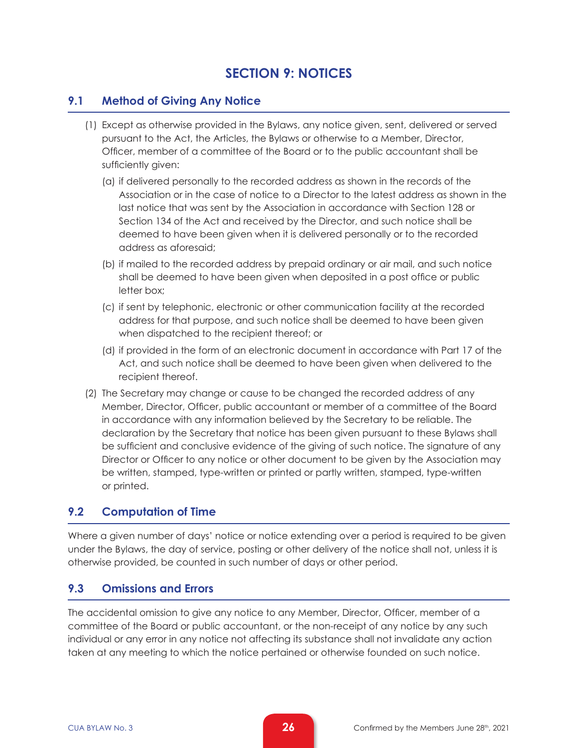# **SECTION 9: NOTICES**

## **9.1 Method of Giving Any Notice**

- (1) Except as otherwise provided in the Bylaws, any notice given, sent, delivered or served pursuant to the Act, the Articles, the Bylaws or otherwise to a Member, Director, Officer, member of a committee of the Board or to the public accountant shall be sufficiently given:
	- (a) if delivered personally to the recorded address as shown in the records of the Association or in the case of notice to a Director to the latest address as shown in the last notice that was sent by the Association in accordance with Section 128 or Section 134 of the Act and received by the Director, and such notice shall be deemed to have been given when it is delivered personally or to the recorded address as aforesaid;
	- (b) if mailed to the recorded address by prepaid ordinary or air mail, and such notice shall be deemed to have been given when deposited in a post office or public letter box;
	- (c) if sent by telephonic, electronic or other communication facility at the recorded address for that purpose, and such notice shall be deemed to have been given when dispatched to the recipient thereof; or
	- (d) if provided in the form of an electronic document in accordance with Part 17 of the Act, and such notice shall be deemed to have been given when delivered to the recipient thereof.
- (2) The Secretary may change or cause to be changed the recorded address of any Member, Director, Officer, public accountant or member of a committee of the Board in accordance with any information believed by the Secretary to be reliable. The declaration by the Secretary that notice has been given pursuant to these Bylaws shall be sufficient and conclusive evidence of the giving of such notice. The signature of any Director or Officer to any notice or other document to be given by the Association may be written, stamped, type-written or printed or partly written, stamped, type-written or printed.

### **9.2 Computation of Time**

Where a given number of days' notice or notice extending over a period is required to be given under the Bylaws, the day of service, posting or other delivery of the notice shall not, unless it is otherwise provided, be counted in such number of days or other period.

### **9.3 Omissions and Errors**

The accidental omission to give any notice to any Member, Director, Officer, member of a committee of the Board or public accountant, or the non-receipt of any notice by any such individual or any error in any notice not affecting its substance shall not invalidate any action taken at any meeting to which the notice pertained or otherwise founded on such notice.